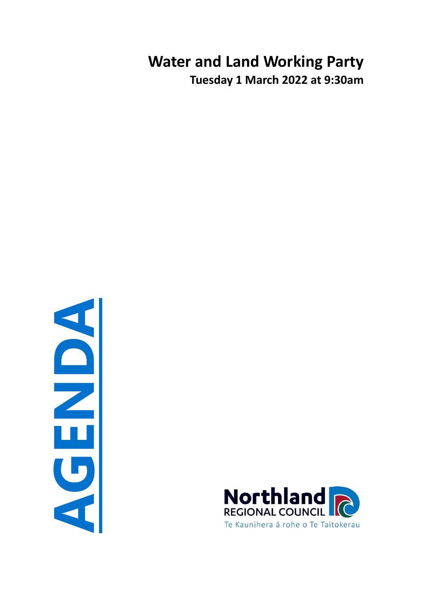# **Water and Land Working Party Tuesday 1 March 2022 at 9:30am**

**AGENDA**

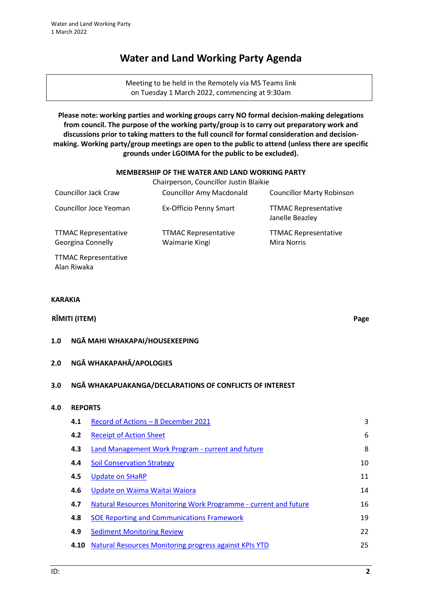## **Water and Land Working Party Agenda**

Meeting to be held in the Remotely via MS Teams link on Tuesday 1 March 2022, commencing at 9:30am

**Please note: working parties and working groups carry NO formal decision-making delegations from council. The purpose of the working party/group is to carry out preparatory work and discussions prior to taking matters to the full council for formal consideration and decisionmaking. Working party/group meetings are open to the public to attend (unless there are specific grounds under LGOIMA for the public to be excluded).**

#### **MEMBERSHIP OF THE WATER AND LAND WORKING PARTY**

|                                                         | Chairperson, Councillor Justin Blaikie        |                                                   |
|---------------------------------------------------------|-----------------------------------------------|---------------------------------------------------|
| <b>Councillor Jack Craw</b>                             | <b>Councillor Amy Macdonald</b>               | <b>Councillor Marty Robinson</b>                  |
| Councillor Joce Yeoman                                  | Ex-Officio Penny Smart                        | <b>TTMAC Representative</b><br>Janelle Beazley    |
| <b>TTMAC Representative</b><br><b>Georgina Connelly</b> | <b>TTMAC Representative</b><br>Waimarie Kingi | <b>TTMAC Representative</b><br><b>Mira Norris</b> |
| <b>TTMAC Representative</b>                             |                                               |                                                   |

**KARAKIA**

## **RĪMITI (ITEM) Page**

Alan Riwaka

#### **1.0 NGĀ MAHI WHAKAPAI/HOUSEKEEPING**

#### **2.0 NGĀ WHAKAPAHĀ/APOLOGIES**

#### **3.0 NGĀ WHAKAPUAKANGA/DECLARATIONS OF CONFLICTS OF INTEREST**

## **4.0 REPORTS**

| 4.1 | Record of Actions - 8 December 2021                              | 3  |
|-----|------------------------------------------------------------------|----|
| 4.2 | <b>Receipt of Action Sheet</b>                                   | 6  |
| 4.3 | Land Management Work Program - current and future                | 8  |
| 4.4 | <b>Soil Conservation Strategy</b>                                | 10 |
| 4.5 | <b>Update on SHaRP</b>                                           | 11 |
| 4.6 | Update on Waima Waitai Waiora                                    | 14 |
| 4.7 | Natural Resources Monitoring Work Programme - current and future | 16 |
| 4.8 | <b>SOE Reporting and Communications Framework</b>                | 19 |
| 4.9 | <b>Sediment Monitoring Review</b>                                | 22 |
|     | Natural Resources Monitoring progress against KPIs YTD<br>4.10   | 25 |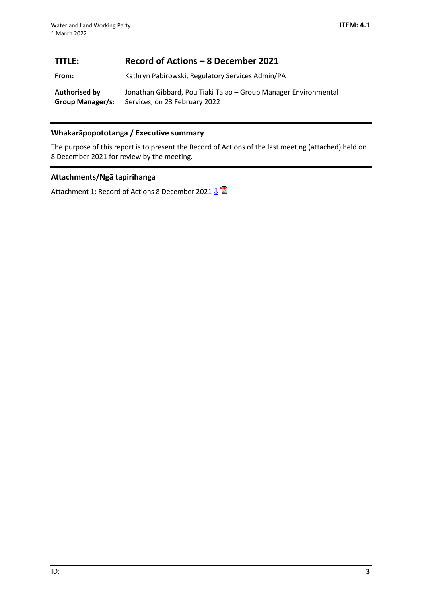## <span id="page-2-0"></span>**TITLE: Record of Actions – 8 December 2021**

**From:** Kathryn Pabirowski, Regulatory Services Admin/PA

**Authorised by Group Manager/s:** Jonathan Gibbard, Pou Tiaki Taiao – Group Manager Environmental Services, on 23 February 2022

## **Whakarāpopototanga / Executive summary**

The purpose of this report is to present the Record of Actions of the last meeting (attached) held on 8 December 2021 for review by the meeting.

## **Attachments/Ngā tapirihanga**

Attachment 1: Record of Actions 8 December 2021 <u>U</u>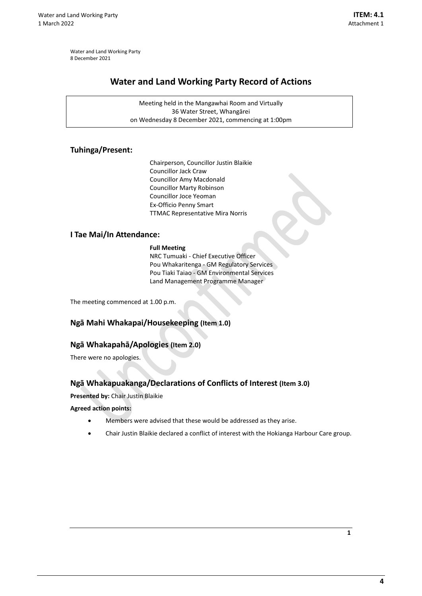<span id="page-3-0"></span>Water and Land Working Party 8 December 2021

## **Water and Land Working Party Record of Actions**

Meeting held in the Mangawhai Room and Virtually 36 Water Street, Whangārei on Wednesday 8 December 2021, commencing at 1:00pm

## **Tuhinga/Present:**

Chairperson, Councillor Justin Blaikie Councillor Jack Craw Councillor Amy Macdonald Councillor Marty Robinson Councillor Joce Yeoman Ex-Officio Penny Smart TTMAC Representative Mira Norris

## **I Tae Mai/In Attendance:**

**Full Meeting**

NRC Tumuaki - Chief Executive Officer Pou Whakaritenga - GM Regulatory Services Pou Tiaki Taiao - GM Environmental Services Land Management Programme Manager

The meeting commenced at 1.00 p.m.

## **Ngā Mahi Whakapai/Housekeeping (Item 1.0)**

## **Ngā Whakapahā/Apologies (Item 2.0)**

There were no apologies.

## **Ngā Whakapuakanga/Declarations of Conflicts of Interest (Item 3.0)**

**Presented by:** Chair Justin Blaikie

**Agreed action points:**

- Members were advised that these would be addressed as they arise.
- Chair Justin Blaikie declared a conflict of interest with the Hokianga Harbour Care group.

**1**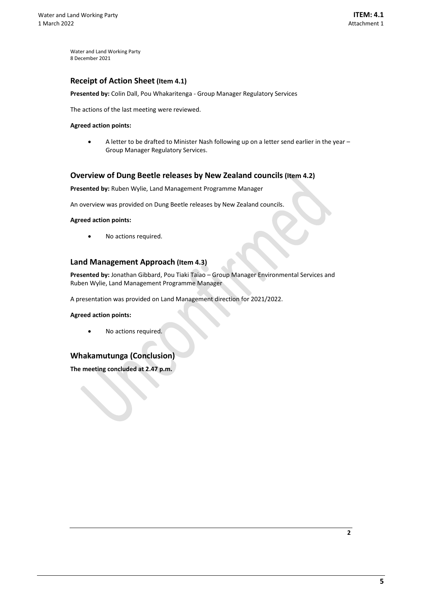Water and Land Working Party 8 December 2021

#### **Receipt of Action Sheet (Item 4.1)**

**Presented by:** Colin Dall, Pou Whakaritenga - Group Manager Regulatory Services

The actions of the last meeting were reviewed.

#### **Agreed action points:**

• A letter to be drafted to Minister Nash following up on a letter send earlier in the year – Group Manager Regulatory Services.

#### **Overview of Dung Beetle releases by New Zealand councils (Item 4.2)**

**Presented by:** Ruben Wylie, Land Management Programme Manager

An overview was provided on Dung Beetle releases by New Zealand councils.

**Agreed action points:** 

No actions required.

#### **Land Management Approach (Item 4.3)**

**Presented by:** Jonathan Gibbard, Pou Tiaki Taiao – Group Manager Environmental Services and Ruben Wylie, Land Management Programme Manager

A presentation was provided on Land Management direction for 2021/2022.

#### **Agreed action points:**

No actions required.

## **Whakamutunga (Conclusion)**

**The meeting concluded at 2.47 p.m.**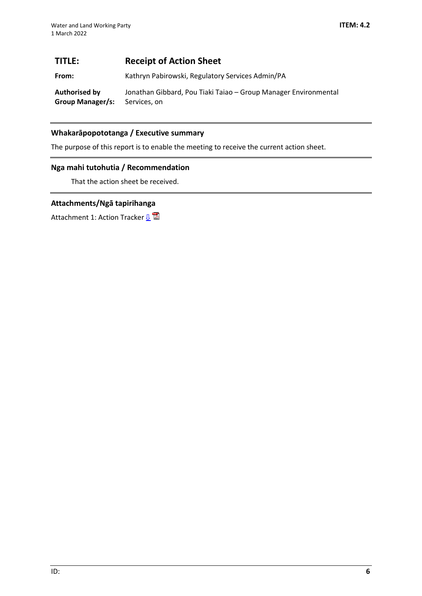## <span id="page-5-0"></span>**TITLE: Receipt of Action Sheet**

**From:** Kathryn Pabirowski, Regulatory Services Admin/PA

**Authorised by Group Manager/s:** Jonathan Gibbard, Pou Tiaki Taiao – Group Manager Environmental Services, on

## **Whakarāpopototanga / Executive summary**

The purpose of this report is to enable the meeting to receive the current action sheet.

## **Nga mahi tutohutia / Recommendation**

That the action sheet be received.

## **Attachments/Ngā tapirihanga**

Attachment 1: Action Tracker  $\mathbf{B}^{\mathbf{a}}$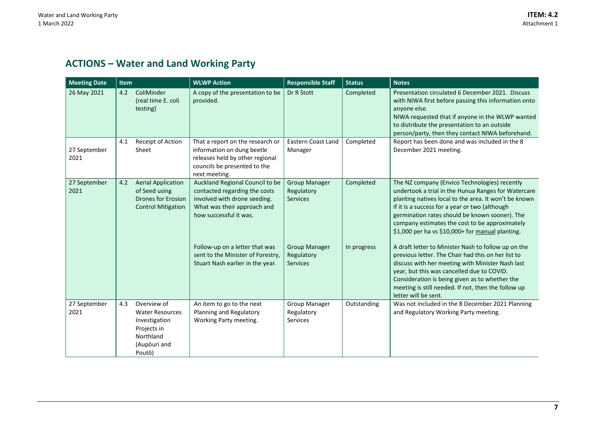## **ACTIONS – Water and Land Working Party**

<span id="page-6-0"></span>

| <b>Meeting Date</b>  | Item                                                                                                                | <b>WLWP Action</b>                                                                                                                                        | <b>Responsible Staff</b>                              | <b>Status</b> | <b>Notes</b>                                                                                                                                                                                                                                                                                                                                                            |
|----------------------|---------------------------------------------------------------------------------------------------------------------|-----------------------------------------------------------------------------------------------------------------------------------------------------------|-------------------------------------------------------|---------------|-------------------------------------------------------------------------------------------------------------------------------------------------------------------------------------------------------------------------------------------------------------------------------------------------------------------------------------------------------------------------|
| 26 May 2021          | ColiMinder<br>4.2<br>(real time E. coli<br>testing)                                                                 | A copy of the presentation to be<br>provided.                                                                                                             | Dr R Stott                                            | Completed     | Presentation circulated 6 December 2021. Discuss<br>with NIWA first before passing this information onto<br>anyone else.<br>NIWA requested that if anyone in the WLWP wanted<br>to distribute the presentation to an outside<br>person/party, then they contact NIWA beforehand.                                                                                        |
| 27 September<br>2021 | Receipt of Action<br>4.1<br>Sheet                                                                                   | That a report on the research or<br>information on dung beetle<br>releases held by other regional<br>councils be presented to the<br>next meeting.        | Eastern Coast Land<br>Manager                         | Completed     | Report has been done and was included in the 8<br>December 2021 meeting.                                                                                                                                                                                                                                                                                                |
| 27 September<br>2021 | <b>Aerial Application</b><br>4.2<br>of Seed using<br><b>Drones for Erosion</b><br><b>Control Mitigation</b>         | Auckland Regional Council to be<br>contacted regarding the costs<br>involved with drone seeding.<br>What was their approach and<br>how successful it was. | <b>Group Manager</b><br>Regulatory<br><b>Services</b> | Completed     | The NZ company (Envico Technologies) recently<br>undertook a trial in the Hunua Ranges for Watercare<br>planting natives local to the area. It won't be known<br>if it is a success for a year or two (although<br>germination rates should be known sooner). The<br>company estimates the cost to be approximately<br>\$1,000 per ha vs \$10,000+ for manual planting. |
|                      |                                                                                                                     | Follow-up on a letter that was<br>sent to the Minister of Forestry,<br>Stuart Nash earlier in the year.                                                   | <b>Group Manager</b><br>Regulatory<br><b>Services</b> | In progress   | A draft letter to Minister Nash to follow up on the<br>previous letter. The Chair had this on her list to<br>discuss with her meeting with Minister Nash last<br>year, but this was cancelled due to COVID.<br>Consideration is being given as to whether the<br>meeting is still needed. If not, then the follow up<br>letter will be sent.                            |
| 27 September<br>2021 | Overview of<br>4.3<br><b>Water Resources</b><br>Investigation<br>Projects in<br>Northland<br>(Aupōuri and<br>Poutō) | An item to go to the next<br>Planning and Regulatory<br>Working Party meeting.                                                                            | Group Manager<br>Regulatory<br><b>Services</b>        | Outstanding   | Was not included in the 8 December 2021 Planning<br>and Regulatory Working Party meeting.                                                                                                                                                                                                                                                                               |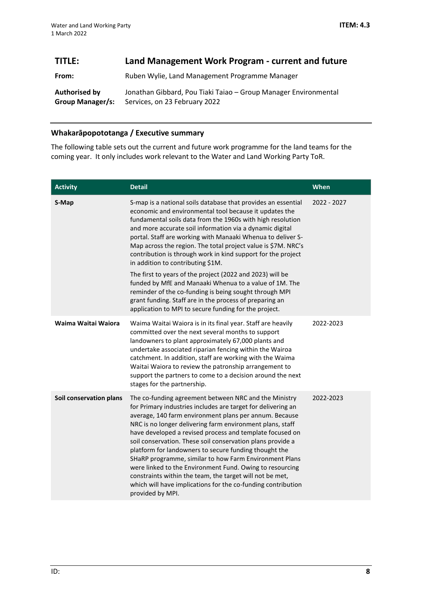<span id="page-7-0"></span>

| TITLE:                            | Land Management Work Program - current and future                                                |
|-----------------------------------|--------------------------------------------------------------------------------------------------|
| From:                             | Ruben Wylie, Land Management Programme Manager                                                   |
| Authorised by<br>Group Manager/s: | Jonathan Gibbard, Pou Tiaki Taiao - Group Manager Environmental<br>Services, on 23 February 2022 |

## **Whakarāpopototanga / Executive summary**

The following table sets out the current and future work programme for the land teams for the coming year. It only includes work relevant to the Water and Land Working Party ToR.

| <b>Activity</b>         | <b>Detail</b>                                                                                                                                                                                                                                                                                                                                                                                                                                                                                                                                                                                                                                                                                         | When        |
|-------------------------|-------------------------------------------------------------------------------------------------------------------------------------------------------------------------------------------------------------------------------------------------------------------------------------------------------------------------------------------------------------------------------------------------------------------------------------------------------------------------------------------------------------------------------------------------------------------------------------------------------------------------------------------------------------------------------------------------------|-------------|
| S-Map                   | S-map is a national soils database that provides an essential<br>economic and environmental tool because it updates the<br>fundamental soils data from the 1960s with high resolution<br>and more accurate soil information via a dynamic digital<br>portal. Staff are working with Manaaki Whenua to deliver S-<br>Map across the region. The total project value is \$7M. NRC's<br>contribution is through work in kind support for the project<br>in addition to contributing \$1M.                                                                                                                                                                                                                | 2022 - 2027 |
|                         | The first to years of the project (2022 and 2023) will be<br>funded by MfE and Manaaki Whenua to a value of 1M. The<br>reminder of the co-funding is being sought through MPI<br>grant funding. Staff are in the process of preparing an<br>application to MPI to secure funding for the project.                                                                                                                                                                                                                                                                                                                                                                                                     |             |
| Waima Waitai Waiora     | Waima Waitai Waiora is in its final year. Staff are heavily<br>committed over the next several months to support<br>landowners to plant approximately 67,000 plants and<br>undertake associated riparian fencing within the Wairoa<br>catchment. In addition, staff are working with the Waima<br>Waitai Waiora to review the patronship arrangement to<br>support the partners to come to a decision around the next<br>stages for the partnership.                                                                                                                                                                                                                                                  | 2022-2023   |
| Soil conservation plans | The co-funding agreement between NRC and the Ministry<br>for Primary industries includes are target for delivering an<br>average, 140 farm environment plans per annum. Because<br>NRC is no longer delivering farm environment plans, staff<br>have developed a revised process and template focused on<br>soil conservation. These soil conservation plans provide a<br>platform for landowners to secure funding thought the<br>SHaRP programme, similar to how Farm Environment Plans<br>were linked to the Environment Fund. Owing to resourcing<br>constraints within the team, the target will not be met,<br>which will have implications for the co-funding contribution<br>provided by MPI. | 2022-2023   |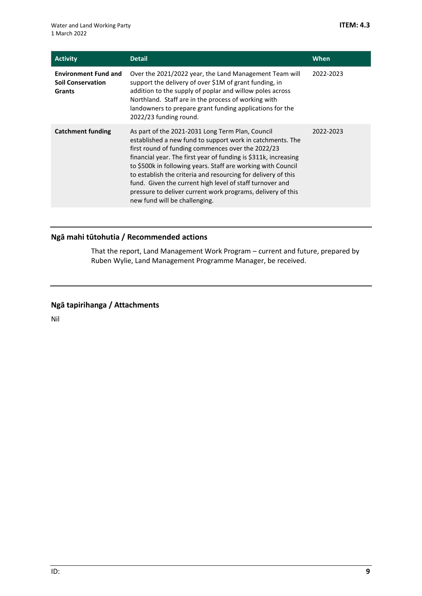| <b>Activity</b>                                                   | <b>Detail</b>                                                                                                                                                                                                                                                                                                                                                                                                                                                                                                                      | When      |
|-------------------------------------------------------------------|------------------------------------------------------------------------------------------------------------------------------------------------------------------------------------------------------------------------------------------------------------------------------------------------------------------------------------------------------------------------------------------------------------------------------------------------------------------------------------------------------------------------------------|-----------|
| <b>Environment Fund and</b><br><b>Soil Conservation</b><br>Grants | Over the 2021/2022 year, the Land Management Team will<br>support the delivery of over \$1M of grant funding, in<br>addition to the supply of poplar and willow poles across<br>Northland. Staff are in the process of working with<br>landowners to prepare grant funding applications for the<br>2022/23 funding round.                                                                                                                                                                                                          | 2022-2023 |
| <b>Catchment funding</b>                                          | As part of the 2021-2031 Long Term Plan, Council<br>established a new fund to support work in catchments. The<br>first round of funding commences over the 2022/23<br>financial year. The first year of funding is \$311k, increasing<br>to \$500k in following years. Staff are working with Council<br>to establish the criteria and resourcing for delivery of this<br>fund. Given the current high level of staff turnover and<br>pressure to deliver current work programs, delivery of this<br>new fund will be challenging. | 2022-2023 |

## **Ngā mahi tūtohutia / Recommended actions**

That the report, Land Management Work Program – current and future, prepared by Ruben Wylie, Land Management Programme Manager, be received.

## **Ngā tapirihanga / Attachments**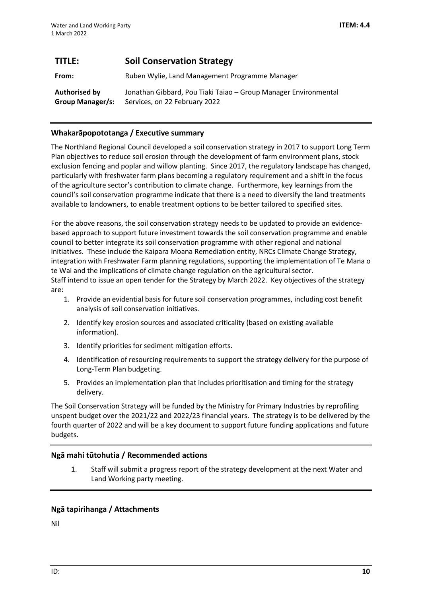<span id="page-9-0"></span>

| TITLE:                                          | <b>Soil Conservation Strategy</b>                                                                |
|-------------------------------------------------|--------------------------------------------------------------------------------------------------|
| From:                                           | Ruben Wylie, Land Management Programme Manager                                                   |
| <b>Authorised by</b><br><b>Group Manager/s:</b> | Jonathan Gibbard, Pou Tiaki Taiao – Group Manager Environmental<br>Services, on 22 February 2022 |

## **Whakarāpopototanga / Executive summary**

The Northland Regional Council developed a soil conservation strategy in 2017 to support Long Term Plan objectives to reduce soil erosion through the development of farm environment plans, stock exclusion fencing and poplar and willow planting. Since 2017, the regulatory landscape has changed, particularly with freshwater farm plans becoming a regulatory requirement and a shift in the focus of the agriculture sector's contribution to climate change. Furthermore, key learnings from the council's soil conservation programme indicate that there is a need to diversify the land treatments available to landowners, to enable treatment options to be better tailored to specified sites.

For the above reasons, the soil conservation strategy needs to be updated to provide an evidencebased approach to support future investment towards the soil conservation programme and enable council to better integrate its soil conservation programme with other regional and national initiatives. These include the Kaipara Moana Remediation entity, NRCs Climate Change Strategy, integration with Freshwater Farm planning regulations, supporting the implementation of Te Mana o te Wai and the implications of climate change regulation on the agricultural sector. Staff intend to issue an open tender for the Strategy by March 2022. Key objectives of the strategy are:

- 1. Provide an evidential basis for future soil conservation programmes, including cost benefit analysis of soil conservation initiatives.
- 2. Identify key erosion sources and associated criticality (based on existing available information).
- 3. Identify priorities for sediment mitigation efforts.
- 4. Identification of resourcing requirements to support the strategy delivery for the purpose of Long-Term Plan budgeting.
- 5. Provides an implementation plan that includes prioritisation and timing for the strategy delivery.

The Soil Conservation Strategy will be funded by the Ministry for Primary Industries by reprofiling unspent budget over the 2021/22 and 2022/23 financial years. The strategy is to be delivered by the fourth quarter of 2022 and will be a key document to support future funding applications and future budgets.

## **Ngā mahi tūtohutia / Recommended actions**

1. Staff will submit a progress report of the strategy development at the next Water and Land Working party meeting.

## **Ngā tapirihanga / Attachments**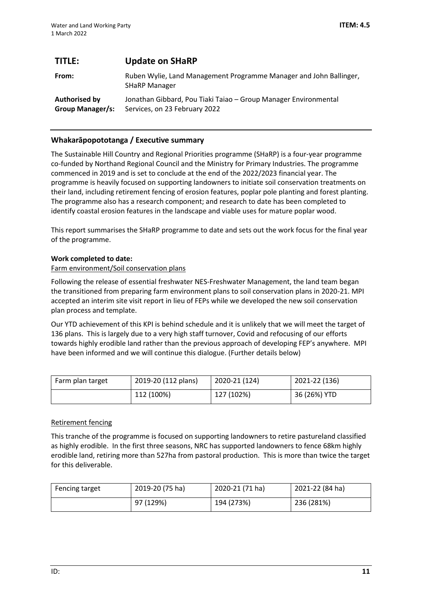<span id="page-10-0"></span>

| TITLE:                                          | <b>Update on SHaRP</b>                                                                           |
|-------------------------------------------------|--------------------------------------------------------------------------------------------------|
| From:                                           | Ruben Wylie, Land Management Programme Manager and John Ballinger,<br><b>SHaRP Manager</b>       |
| <b>Authorised by</b><br><b>Group Manager/s:</b> | Jonathan Gibbard, Pou Tiaki Taiao - Group Manager Environmental<br>Services, on 23 February 2022 |

## **Whakarāpopototanga / Executive summary**

The Sustainable Hill Country and Regional Priorities programme (SHaRP) is a four-year programme co-funded by Northand Regional Council and the Ministry for Primary Industries. The programme commenced in 2019 and is set to conclude at the end of the 2022/2023 financial year. The programme is heavily focused on supporting landowners to initiate soil conservation treatments on their land, including retirement fencing of erosion features, poplar pole planting and forest planting. The programme also has a research component; and research to date has been completed to identify coastal erosion features in the landscape and viable uses for mature poplar wood.

This report summarises the SHaRP programme to date and sets out the work focus for the final year of the programme.

#### **Work completed to date:**

#### Farm environment/Soil conservation plans

Following the release of essential freshwater NES-Freshwater Management, the land team began the transitioned from preparing farm environment plans to soil conservation plans in 2020-21. MPI accepted an interim site visit report in lieu of FEPs while we developed the new soil conservation plan process and template.

Our YTD achievement of this KPI is behind schedule and it is unlikely that we will meet the target of 136 plans. This is largely due to a very high staff turnover, Covid and refocusing of our efforts towards highly erodible land rather than the previous approach of developing FEP's anywhere. MPI have been informed and we will continue this dialogue. (Further details below)

| Farm plan target | 2019-20 (112 plans) | 2020-21 (124) | 2021-22 (136) |
|------------------|---------------------|---------------|---------------|
|                  | 112 (100%)          | 127 (102%)    | 36 (26%) YTD  |

#### Retirement fencing

This tranche of the programme is focused on supporting landowners to retire pastureland classified as highly erodible. In the first three seasons, NRC has supported landowners to fence 68km highly erodible land, retiring more than 527ha from pastoral production. This is more than twice the target for this deliverable.

| Fencing target | 2019-20 (75 ha) | 2020-21 (71 ha) | 2021-22 (84 ha) |
|----------------|-----------------|-----------------|-----------------|
|                | 97 (129%)       | 194 (273%)      | 236 (281%)      |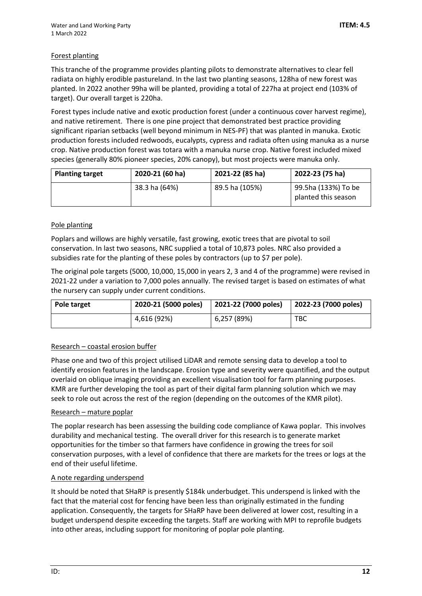## Forest planting

This tranche of the programme provides planting pilots to demonstrate alternatives to clear fell radiata on highly erodible pastureland. In the last two planting seasons, 128ha of new forest was planted. In 2022 another 99ha will be planted, providing a total of 227ha at project end (103% of target). Our overall target is 220ha.

Forest types include native and exotic production forest (under a continuous cover harvest regime), and native retirement. There is one pine project that demonstrated best practice providing significant riparian setbacks (well beyond minimum in NES-PF) that was planted in manuka. Exotic production forests included redwoods, eucalypts, cypress and radiata often using manuka as a nurse crop. Native production forest was totara with a manuka nurse crop. Native forest included mixed species (generally 80% pioneer species, 20% canopy), but most projects were manuka only.

| <b>Planting target</b> | 2020-21 (60 ha) | 2021-22 (85 ha) | 2022-23 (75 ha)                            |
|------------------------|-----------------|-----------------|--------------------------------------------|
|                        | 38.3 ha (64%)   | 89.5 ha (105%)  | 99.5ha (133%) To be<br>planted this season |

## Pole planting

Poplars and willows are highly versatile, fast growing, exotic trees that are pivotal to soil conservation. In last two seasons, NRC supplied a total of 10,873 poles. NRC also provided a subsidies rate for the planting of these poles by contractors (up to \$7 per pole).

The original pole targets (5000, 10,000, 15,000 in years 2, 3 and 4 of the programme) were revised in 2021-22 under a variation to 7,000 poles annually. The revised target is based on estimates of what the nursery can supply under current conditions.

| Pole target | 2020-21 (5000 poles) | 2021-22 (7000 poles) | 2022-23 (7000 poles) |
|-------------|----------------------|----------------------|----------------------|
|             | 4,616 (92%)          | 6,257 (89%)          | TBC                  |

## Research – coastal erosion buffer

Phase one and two of this project utilised LiDAR and remote sensing data to develop a tool to identify erosion features in the landscape. Erosion type and severity were quantified, and the output overlaid on oblique imaging providing an excellent visualisation tool for farm planning purposes. KMR are further developing the tool as part of their digital farm planning solution which we may seek to role out across the rest of the region (depending on the outcomes of the KMR pilot).

#### Research – mature poplar

The poplar research has been assessing the building code compliance of Kawa poplar. This involves durability and mechanical testing. The overall driver for this research is to generate market opportunities for the timber so that farmers have confidence in growing the trees for soil conservation purposes, with a level of confidence that there are markets for the trees or logs at the end of their useful lifetime.

#### A note regarding underspend

It should be noted that SHaRP is presently \$184k underbudget. This underspend is linked with the fact that the material cost for fencing have been less than originally estimated in the funding application. Consequently, the targets for SHaRP have been delivered at lower cost, resulting in a budget underspend despite exceeding the targets. Staff are working with MPI to reprofile budgets into other areas, including support for monitoring of poplar pole planting.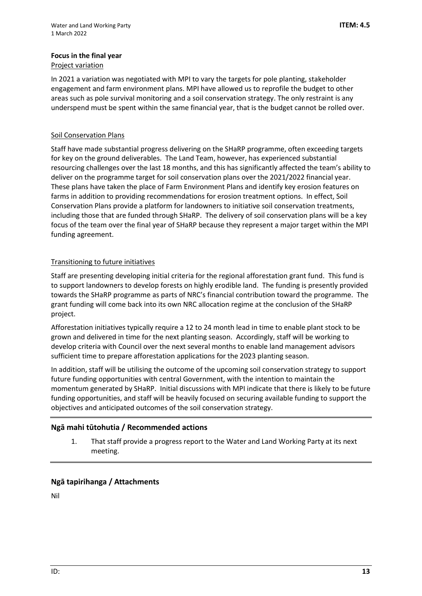## **Focus in the final year**

## Project variation

In 2021 a variation was negotiated with MPI to vary the targets for pole planting, stakeholder engagement and farm environment plans. MPI have allowed us to reprofile the budget to other areas such as pole survival monitoring and a soil conservation strategy. The only restraint is any underspend must be spent within the same financial year, that is the budget cannot be rolled over.

## **Soil Conservation Plans**

Staff have made substantial progress delivering on the SHaRP programme, often exceeding targets for key on the ground deliverables. The Land Team, however, has experienced substantial resourcing challenges over the last 18 months, and this has significantly affected the team's ability to deliver on the programme target for soil conservation plans over the 2021/2022 financial year. These plans have taken the place of Farm Environment Plans and identify key erosion features on farms in addition to providing recommendations for erosion treatment options. In effect, Soil Conservation Plans provide a platform for landowners to initiative soil conservation treatments, including those that are funded through SHaRP. The delivery of soil conservation plans will be a key focus of the team over the final year of SHaRP because they represent a major target within the MPI funding agreement.

## Transitioning to future initiatives

Staff are presenting developing initial criteria for the regional afforestation grant fund. This fund is to support landowners to develop forests on highly erodible land. The funding is presently provided towards the SHaRP programme as parts of NRC's financial contribution toward the programme. The grant funding will come back into its own NRC allocation regime at the conclusion of the SHaRP project.

Afforestation initiatives typically require a 12 to 24 month lead in time to enable plant stock to be grown and delivered in time for the next planting season. Accordingly, staff will be working to develop criteria with Council over the next several months to enable land management advisors sufficient time to prepare afforestation applications for the 2023 planting season.

In addition, staff will be utilising the outcome of the upcoming soil conservation strategy to support future funding opportunities with central Government, with the intention to maintain the momentum generated by SHaRP. Initial discussions with MPI indicate that there is likely to be future funding opportunities, and staff will be heavily focused on securing available funding to support the objectives and anticipated outcomes of the soil conservation strategy.

## **Ngā mahi tūtohutia / Recommended actions**

1. That staff provide a progress report to the Water and Land Working Party at its next meeting.

## **Ngā tapirihanga / Attachments**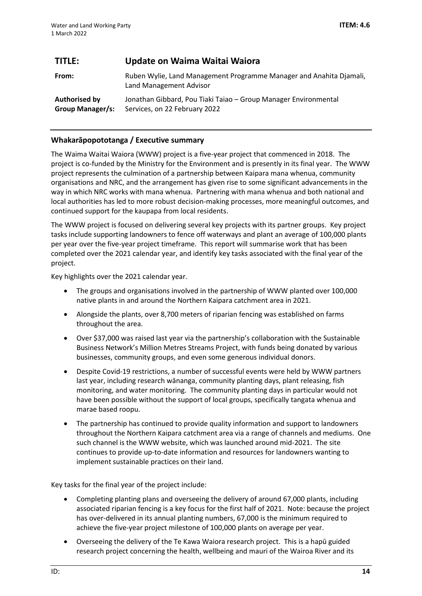<span id="page-13-0"></span>

| TITLE:                                   | Update on Waima Waitai Waiora                                                                    |
|------------------------------------------|--------------------------------------------------------------------------------------------------|
| From:                                    | Ruben Wylie, Land Management Programme Manager and Anahita Djamali,<br>Land Management Advisor   |
| Authorised by<br><b>Group Manager/s:</b> | Jonathan Gibbard, Pou Tiaki Taiao - Group Manager Environmental<br>Services, on 22 February 2022 |

## **Whakarāpopototanga / Executive summary**

The Waima Waitai Waiora (WWW) project is a five-year project that commenced in 2018. The project is co-funded by the Ministry for the Environment and is presently in its final year. The WWW project represents the culmination of a partnership between Kaipara mana whenua, community organisations and NRC, and the arrangement has given rise to some significant advancements in the way in which NRC works with mana whenua. Partnering with mana whenua and both national and local authorities has led to more robust decision-making processes, more meaningful outcomes, and continued support for the kaupapa from local residents.

The WWW project is focused on delivering several key projects with its partner groups. Key project tasks include supporting landowners to fence off waterways and plant an average of 100,000 plants per year over the five-year project timeframe. This report will summarise work that has been completed over the 2021 calendar year, and identify key tasks associated with the final year of the project.

Key highlights over the 2021 calendar year.

- The groups and organisations involved in the partnership of WWW planted over 100,000 native plants in and around the Northern Kaipara catchment area in 2021.
- Alongside the plants, over 8,700 meters of riparian fencing was established on farms throughout the area.
- Over \$37,000 was raised last year via the partnership's collaboration with the Sustainable Business Network's Million Metres Streams Project, with funds being donated by various businesses, community groups, and even some generous individual donors.
- Despite Covid-19 restrictions, a number of successful events were held by WWW partners last year, including research wānanga, community planting days, plant releasing, fish monitoring, and water monitoring. The community planting days in particular would not have been possible without the support of local groups, specifically tangata whenua and marae based roopu.
- The partnership has continued to provide quality information and support to landowners throughout the Northern Kaipara catchment area via a range of channels and mediums. One such channel is the WWW website, which was launched around mid-2021. The site continues to provide up-to-date information and resources for landowners wanting to implement sustainable practices on their land.

Key tasks for the final year of the project include:

- Completing planting plans and overseeing the delivery of around 67,000 plants, including associated riparian fencing is a key focus for the first half of 2021. Note: because the project has over-delivered in its annual planting numbers, 67,000 is the minimum required to achieve the five-year project milestone of 100,000 plants on average per year.
- Overseeing the delivery of the Te Kawa Waiora research project. This is a hapū guided research project concerning the health, wellbeing and mauri of the Wairoa River and its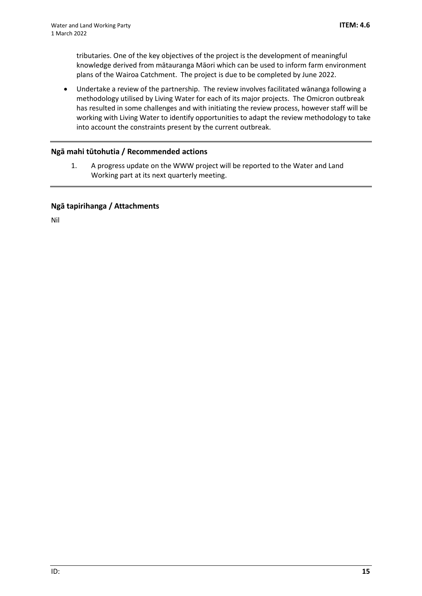tributaries. One of the key objectives of the project is the development of meaningful knowledge derived from mātauranga Māori which can be used to inform farm environment plans of the Wairoa Catchment. The project is due to be completed by June 2022.

• Undertake a review of the partnership. The review involves facilitated wānanga following a methodology utilised by Living Water for each of its major projects. The Omicron outbreak has resulted in some challenges and with initiating the review process, however staff will be working with Living Water to identify opportunities to adapt the review methodology to take into account the constraints present by the current outbreak.

## **Ngā mahi tūtohutia / Recommended actions**

1. A progress update on the WWW project will be reported to the Water and Land Working part at its next quarterly meeting.

## **Ngā tapirihanga / Attachments**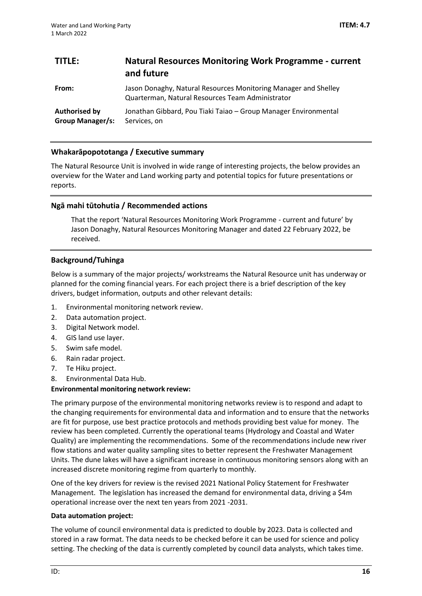<span id="page-15-0"></span>

| TITLE:                                          | <b>Natural Resources Monitoring Work Programme - current</b><br>and future                                          |
|-------------------------------------------------|---------------------------------------------------------------------------------------------------------------------|
| From:                                           | Jason Donaghy, Natural Resources Monitoring Manager and Shelley<br>Quarterman, Natural Resources Team Administrator |
| <b>Authorised by</b><br><b>Group Manager/s:</b> | Jonathan Gibbard, Pou Tiaki Taiao - Group Manager Environmental<br>Services, on                                     |

## **Whakarāpopototanga / Executive summary**

The Natural Resource Unit is involved in wide range of interesting projects, the below provides an overview for the Water and Land working party and potential topics for future presentations or reports.

## **Ngā mahi tūtohutia / Recommended actions**

That the report 'Natural Resources Monitoring Work Programme - current and future' by Jason Donaghy, Natural Resources Monitoring Manager and dated 22 February 2022, be received.

## **Background/Tuhinga**

Below is a summary of the major projects/ workstreams the Natural Resource unit has underway or planned for the coming financial years. For each project there is a brief description of the key drivers, budget information, outputs and other relevant details:

- 1. Environmental monitoring network review.
- 2. Data automation project.
- 3. Digital Network model.
- 4. GIS land use layer.
- 5. Swim safe model.
- 6. Rain radar project.
- 7. Te Hiku project.
- 8. Environmental Data Hub.

#### **Environmental monitoring network review:**

The primary purpose of the environmental monitoring networks review is to respond and adapt to the changing requirements for environmental data and information and to ensure that the networks are fit for purpose, use best practice protocols and methods providing best value for money. The review has been completed. Currently the operational teams (Hydrology and Coastal and Water Quality) are implementing the recommendations. Some of the recommendations include new river flow stations and water quality sampling sites to better represent the Freshwater Management Units. The dune lakes will have a significant increase in continuous monitoring sensors along with an increased discrete monitoring regime from quarterly to monthly.

One of the key drivers for review is the revised 2021 National Policy Statement for Freshwater Management. The legislation has increased the demand for environmental data, driving a \$4m operational increase over the next ten years from 2021 -2031.

#### **Data automation project:**

The volume of council environmental data is predicted to double by 2023. Data is collected and stored in a raw format. The data needs to be checked before it can be used for science and policy setting. The checking of the data is currently completed by council data analysts, which takes time.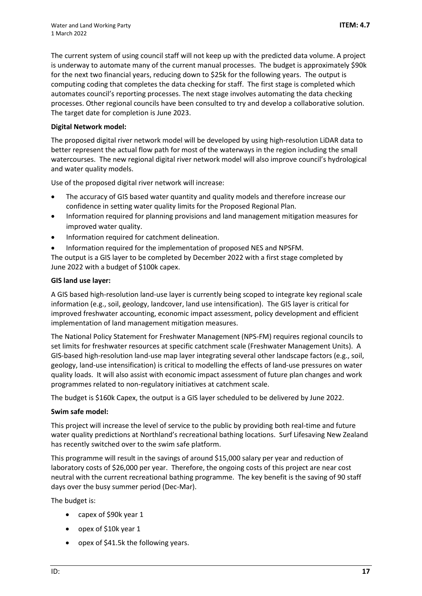The current system of using council staff will not keep up with the predicted data volume. A project is underway to automate many of the current manual processes. The budget is approximately \$90k for the next two financial years, reducing down to \$25k for the following years. The output is computing coding that completes the data checking for staff. The first stage is completed which automates council's reporting processes. The next stage involves automating the data checking processes. Other regional councils have been consulted to try and develop a collaborative solution. The target date for completion is June 2023.

## **Digital Network model:**

The proposed digital river network model will be developed by using high-resolution LiDAR data to better represent the actual flow path for most of the waterways in the region including the small watercourses. The new regional digital river network model will also improve council's hydrological and water quality models.

Use of the proposed digital river network will increase:

- The accuracy of GIS based water quantity and quality models and therefore increase our confidence in setting water quality limits for the Proposed Regional Plan.
- Information required for planning provisions and land management mitigation measures for improved water quality.
- Information required for catchment delineation.
- Information required for the implementation of proposed NES and NPSFM.

The output is a GIS layer to be completed by December 2022 with a first stage completed by June 2022 with a budget of \$100k capex.

## **GIS land use layer:**

A GIS based high-resolution land-use layer is currently being scoped to integrate key regional scale information (e.g., soil, geology, landcover, land use intensification). The GIS layer is critical for improved freshwater accounting, economic impact assessment, policy development and efficient implementation of land management mitigation measures.

The National Policy Statement for Freshwater Management (NPS-FM) requires regional councils to set limits for freshwater resources at specific catchment scale (Freshwater Management Units). A GIS-based high-resolution land-use map layer integrating several other landscape factors (e.g., soil, geology, land-use intensification) is critical to modelling the effects of land-use pressures on water quality loads. It will also assist with economic impact assessment of future plan changes and work programmes related to non-regulatory initiatives at catchment scale.

The budget is \$160k Capex, the output is a GIS layer scheduled to be delivered by June 2022.

## **Swim safe model:**

This project will increase the level of service to the public by providing both real-time and future water quality predictions at Northland's recreational bathing locations. Surf Lifesaving New Zealand has recently switched over to the swim safe platform.

This programme will result in the savings of around \$15,000 salary per year and reduction of laboratory costs of \$26,000 per year. Therefore, the ongoing costs of this project are near cost neutral with the current recreational bathing programme. The key benefit is the saving of 90 staff days over the busy summer period (Dec-Mar).

The budget is:

- capex of \$90k year 1
- opex of \$10k year 1
- opex of \$41.5k the following years.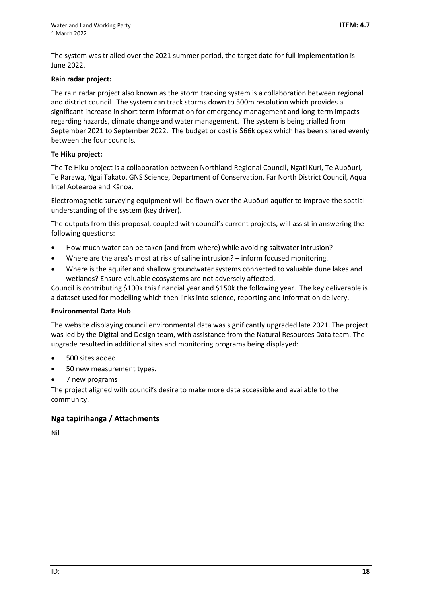The system was trialled over the 2021 summer period, the target date for full implementation is June 2022.

## **Rain radar project:**

The rain radar project also known as the storm tracking system is a collaboration between regional and district council. The system can track storms down to 500m resolution which provides a significant increase in short term information for emergency management and long-term impacts regarding hazards, climate change and water management. The system is being trialled from September 2021 to September 2022. The budget or cost is \$66k opex which has been shared evenly between the four councils.

## **Te Hiku project:**

The Te Hiku project is a collaboration between Northland Regional Council, Ngati Kuri, Te Aupōuri, Te Rarawa, Ngai Takato, GNS Science, Department of Conservation, Far North District Council, Aqua Intel Aotearoa and Kānoa.

Electromagnetic surveying equipment will be flown over the Aupōuri aquifer to improve the spatial understanding of the system (key driver).

The outputs from this proposal, coupled with council's current projects, will assist in answering the following questions:

- How much water can be taken (and from where) while avoiding saltwater intrusion?
- Where are the area's most at risk of saline intrusion?  $-$  inform focused monitoring.
- Where is the aquifer and shallow groundwater systems connected to valuable dune lakes and wetlands? Ensure valuable ecosystems are not adversely affected.

Council is contributing \$100k this financial year and \$150k the following year. The key deliverable is a dataset used for modelling which then links into science, reporting and information delivery.

#### **Environmental Data Hub**

The website displaying council environmental data was significantly upgraded late 2021. The project was led by the Digital and Design team, with assistance from the Natural Resources Data team. The upgrade resulted in additional sites and monitoring programs being displayed:

- 500 sites added
- 50 new measurement types.
- 7 new programs

The project aligned with council's desire to make more data accessible and available to the community.

## **Ngā tapirihanga / Attachments**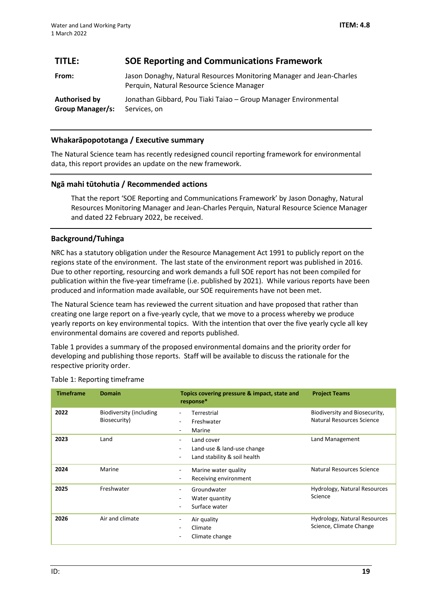## <span id="page-18-0"></span>**TITLE: SOE Reporting and Communications Framework**

| From:                   | Jason Donaghy, Natural Resources Monitoring Manager and Jean-Charles<br>Perquin, Natural Resource Science Manager |
|-------------------------|-------------------------------------------------------------------------------------------------------------------|
| Authorised by           | Jonathan Gibbard, Pou Tiaki Taiao – Group Manager Environmental                                                   |
| <b>Group Manager/s:</b> | Services, on                                                                                                      |

## **Whakarāpopototanga / Executive summary**

The Natural Science team has recently redesigned council reporting framework for environmental data, this report provides an update on the new framework.

## **Ngā mahi tūtohutia / Recommended actions**

That the report 'SOE Reporting and Communications Framework' by Jason Donaghy, Natural Resources Monitoring Manager and Jean-Charles Perquin, Natural Resource Science Manager and dated 22 February 2022, be received.

## **Background/Tuhinga**

NRC has a statutory obligation under the Resource Management Act 1991 to publicly report on the regions state of the environment. The last state of the environment report was published in 2016. Due to other reporting, resourcing and work demands a full SOE report has not been compiled for publication within the five-year timeframe (i.e. published by 2021). While various reports have been produced and information made available, our SOE requirements have not been met.

The Natural Science team has reviewed the current situation and have proposed that rather than creating one large report on a five-yearly cycle, that we move to a process whereby we produce yearly reports on key environmental topics. With the intention that over the five yearly cycle all key environmental domains are covered and reports published.

Table 1 provides a summary of the proposed environmental domains and the priority order for developing and publishing those reports. Staff will be available to discuss the rationale for the respective priority order.

| <b>Timeframe</b> | <b>Domain</b>                           | Topics covering pressure & impact, state and<br>response*                | <b>Project Teams</b>                                       |
|------------------|-----------------------------------------|--------------------------------------------------------------------------|------------------------------------------------------------|
| 2022             | Biodiversity (including<br>Biosecurity) | Terrestrial<br>Freshwater<br>Marine<br>-                                 | Biodiversity and Biosecurity,<br>Natural Resources Science |
| 2023             | Land                                    | Land cover<br>Land-use & land-use change<br>Land stability & soil health | Land Management                                            |
| 2024             | Marine                                  | Marine water quality<br>Receiving environment                            | Natural Resources Science                                  |
| 2025             | Freshwater                              | Groundwater<br>Water quantity<br>Surface water                           | Hydrology, Natural Resources<br>Science                    |
| 2026             | Air and climate                         | Air quality<br>Climate<br>Climate change                                 | Hydrology, Natural Resources<br>Science, Climate Change    |

## Table 1: Reporting timeframe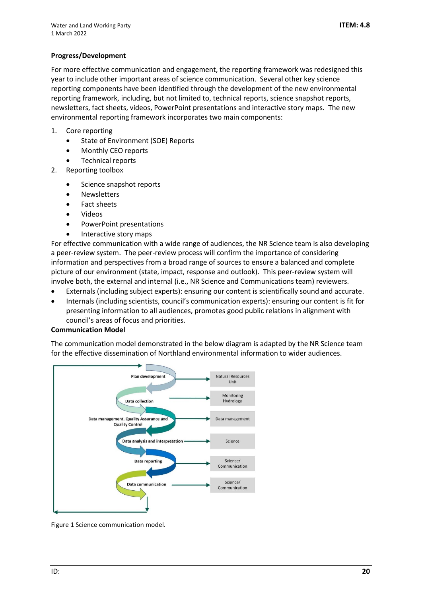## **Progress/Development**

For more effective communication and engagement, the reporting framework was redesigned this year to include other important areas of science communication. Several other key science reporting components have been identified through the development of the new environmental reporting framework, including, but not limited to, technical reports, science snapshot reports, newsletters, fact sheets, videos, PowerPoint presentations and interactive story maps. The new environmental reporting framework incorporates two main components:

- 1. Core reporting
	- State of Environment (SOE) Reports
	- Monthly CEO reports
	- Technical reports
- 2. Reporting toolbox
	- Science snapshot reports
	- **Newsletters**
	- Fact sheets
	- Videos
	- PowerPoint presentations
	- Interactive story maps

For effective communication with a wide range of audiences, the NR Science team is also developing a peer-review system. The peer-review process will confirm the importance of considering information and perspectives from a broad range of sources to ensure a balanced and complete picture of our environment (state, impact, response and outlook). This peer-review system will involve both, the external and internal (i.e., NR Science and Communications team) reviewers.

- Externals (including subject experts): ensuring our content is scientifically sound and accurate.
- Internals (including scientists, council's communication experts): ensuring our content is fit for presenting information to all audiences, promotes good public relations in alignment with council's areas of focus and priorities.

#### **Communication Model**

The communication model demonstrated in the below diagram is adapted by the NR Science team for the effective dissemination of Northland environmental information to wider audiences.



Figure 1 Science communication model.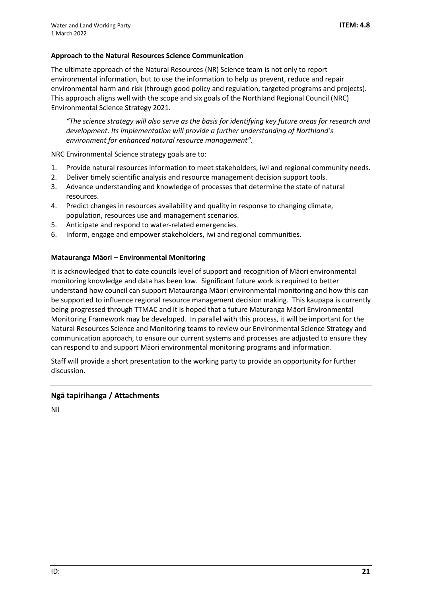## **Approach to the Natural Resources Science Communication**

The ultimate approach of the Natural Resources (NR) Science team is not only to report environmental information, but to use the information to help us prevent, reduce and repair environmental harm and risk (through good policy and regulation, targeted programs and projects). This approach aligns well with the scope and six goals of the Northland Regional Council (NRC) Environmental Science Strategy 2021.

*"The science strategy will also serve as the basis for identifying key future areas for research and development. Its implementation will provide a further understanding of Northland's environment for enhanced natural resource management".*

NRC Environmental Science strategy goals are to:

- 1. Provide natural resources information to meet stakeholders, iwi and regional community needs.
- 2. Deliver timely scientific analysis and resource management decision support tools.
- 3. Advance understanding and knowledge of processes that determine the state of natural resources.
- 4. Predict changes in resources availability and quality in response to changing climate, population, resources use and management scenarios.
- 5. Anticipate and respond to water-related emergencies.
- 6. Inform, engage and empower stakeholders, iwi and regional communities.

## **Matauranga Māori – Environmental Monitoring**

It is acknowledged that to date councils level of support and recognition of Māori environmental monitoring knowledge and data has been low. Significant future work is required to better understand how council can support Matauranga Māori environmental monitoring and how this can be supported to influence regional resource management decision making. This kaupapa is currently being progressed through TTMAC and it is hoped that a future Maturanga Māori Environmental Monitoring Framework may be developed. In parallel with this process, it will be important for the Natural Resources Science and Monitoring teams to review our Environmental Science Strategy and communication approach, to ensure our current systems and processes are adjusted to ensure they can respond to and support Māori environmental monitoring programs and information.

Staff will provide a short presentation to the working party to provide an opportunity for further discussion.

## **Ngā tapirihanga / Attachments**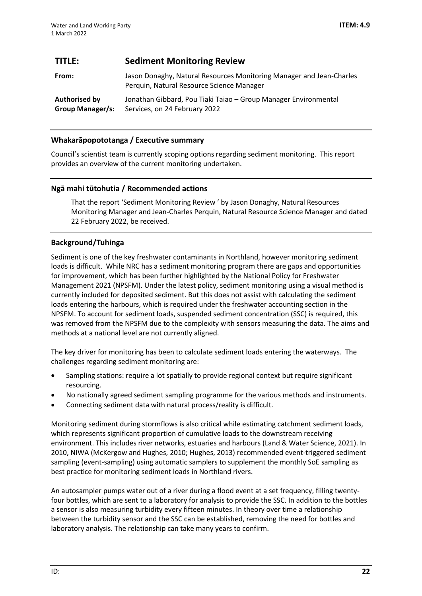## <span id="page-21-0"></span>**TITLE: Sediment Monitoring Review**

| From:            | Jason Donaghy, Natural Resources Monitoring Manager and Jean-Charles<br>Perquin, Natural Resource Science Manager |
|------------------|-------------------------------------------------------------------------------------------------------------------|
| Authorised by    | Jonathan Gibbard, Pou Tiaki Taiao – Group Manager Environmental                                                   |
| Group Manager/s: | Services, on 24 February 2022                                                                                     |

## **Whakarāpopototanga / Executive summary**

Council's scientist team is currently scoping options regarding sediment monitoring. This report provides an overview of the current monitoring undertaken.

## **Ngā mahi tūtohutia / Recommended actions**

That the report 'Sediment Monitoring Review ' by Jason Donaghy, Natural Resources Monitoring Manager and Jean-Charles Perquin, Natural Resource Science Manager and dated 22 February 2022, be received.

## **Background/Tuhinga**

Sediment is one of the key freshwater contaminants in Northland, however monitoring sediment loads is difficult. While NRC has a sediment monitoring program there are gaps and opportunities for improvement, which has been further highlighted by the National Policy for Freshwater Management 2021 (NPSFM). Under the latest policy, sediment monitoring using a visual method is currently included for deposited sediment. But this does not assist with calculating the sediment loads entering the harbours, which is required under the freshwater accounting section in the NPSFM. To account for sediment loads, suspended sediment concentration (SSC) is required, this was removed from the NPSFM due to the complexity with sensors measuring the data. The aims and methods at a national level are not currently aligned.

The key driver for monitoring has been to calculate sediment loads entering the waterways. The challenges regarding sediment monitoring are:

- Sampling stations: require a lot spatially to provide regional context but require significant resourcing.
- No nationally agreed sediment sampling programme for the various methods and instruments.
- Connecting sediment data with natural process/reality is difficult.

Monitoring sediment during stormflows is also critical while estimating catchment sediment loads, which represents significant proportion of cumulative loads to the downstream receiving environment. This includes river networks, estuaries and harbours (Land & Water Science, 2021). In 2010, NIWA (McKergow and Hughes, 2010; Hughes, 2013) recommended event-triggered sediment sampling (event-sampling) using automatic samplers to supplement the monthly SoE sampling as best practice for monitoring sediment loads in Northland rivers.

An autosampler pumps water out of a river during a flood event at a set frequency, filling twentyfour bottles, which are sent to a laboratory for analysis to provide the SSC. In addition to the bottles a sensor is also measuring turbidity every fifteen minutes. In theory over time a relationship between the turbidity sensor and the SSC can be established, removing the need for bottles and laboratory analysis. The relationship can take many years to confirm.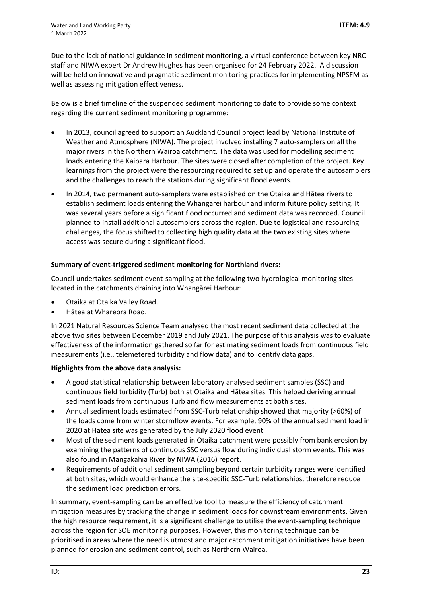Due to the lack of national guidance in sediment monitoring, a virtual conference between key NRC staff and NIWA expert Dr Andrew Hughes has been organised for 24 February 2022. A discussion will be held on innovative and pragmatic sediment monitoring practices for implementing NPSFM as well as assessing mitigation effectiveness.

Below is a brief timeline of the suspended sediment monitoring to date to provide some context regarding the current sediment monitoring programme:

- In 2013, council agreed to support an Auckland Council project lead by National Institute of Weather and Atmosphere (NIWA). The project involved installing 7 auto-samplers on all the major rivers in the Northern Wairoa catchment. The data was used for modelling sediment loads entering the Kaipara Harbour. The sites were closed after completion of the project. Key learnings from the project were the resourcing required to set up and operate the autosamplers and the challenges to reach the stations during significant flood events.
- In 2014, two permanent auto-samplers were established on the Otaika and Hātea rivers to establish sediment loads entering the Whangārei harbour and inform future policy setting. It was several years before a significant flood occurred and sediment data was recorded. Council planned to install additional autosamplers across the region. Due to logistical and resourcing challenges, the focus shifted to collecting high quality data at the two existing sites where access was secure during a significant flood.

## **Summary of event-triggered sediment monitoring for Northland rivers:**

Council undertakes sediment event-sampling at the following two hydrological monitoring sites located in the catchments draining into Whangārei Harbour:

- Otaika at Otaika Valley Road.
- Hātea at Whareora Road.

In 2021 Natural Resources Science Team analysed the most recent sediment data collected at the above two sites between December 2019 and July 2021. The purpose of this analysis was to evaluate effectiveness of the information gathered so far for estimating sediment loads from continuous field measurements (i.e., telemetered turbidity and flow data) and to identify data gaps.

#### **Highlights from the above data analysis:**

- A good statistical relationship between laboratory analysed sediment samples (SSC) and continuous field turbidity (Turb) both at Otaika and Hātea sites. This helped deriving annual sediment loads from continuous Turb and flow measurements at both sites.
- Annual sediment loads estimated from SSC-Turb relationship showed that majority (>60%) of the loads come from winter stormflow events. For example, 90% of the annual sediment load in 2020 at Hātea site was generated by the July 2020 flood event.
- Most of the sediment loads generated in Otaika catchment were possibly from bank erosion by examining the patterns of continuous SSC versus flow during individual storm events. This was also found in Mangakāhia River by NIWA (2016) report.
- Requirements of additional sediment sampling beyond certain turbidity ranges were identified at both sites, which would enhance the site-specific SSC-Turb relationships, therefore reduce the sediment load prediction errors.

In summary, event-sampling can be an effective tool to measure the efficiency of catchment mitigation measures by tracking the change in sediment loads for downstream environments. Given the high resource requirement, it is a significant challenge to utilise the event-sampling technique across the region for SOE monitoring purposes. However, this monitoring technique can be prioritised in areas where the need is utmost and major catchment mitigation initiatives have been planned for erosion and sediment control, such as Northern Wairoa.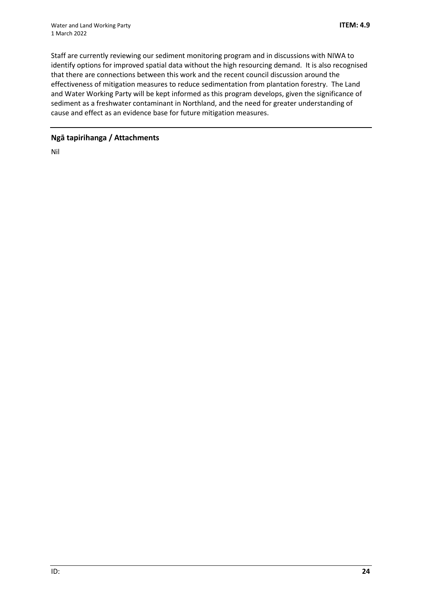Staff are currently reviewing our sediment monitoring program and in discussions with NIWA to identify options for improved spatial data without the high resourcing demand. It is also recognised that there are connections between this work and the recent council discussion around the effectiveness of mitigation measures to reduce sedimentation from plantation forestry. The Land and Water Working Party will be kept informed as this program develops, given the significance of sediment as a freshwater contaminant in Northland, and the need for greater understanding of cause and effect as an evidence base for future mitigation measures.

## **Ngā tapirihanga / Attachments**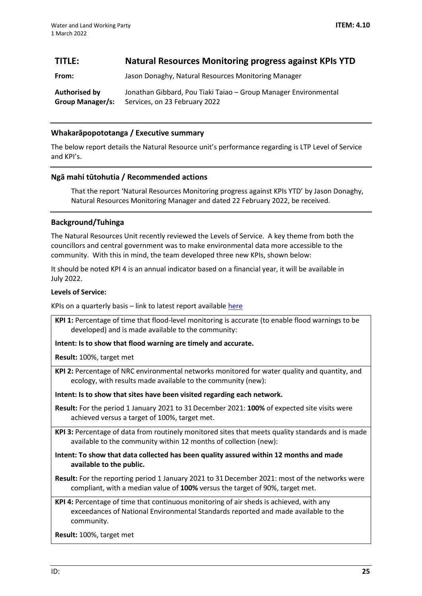## <span id="page-24-0"></span>**TITLE: Natural Resources Monitoring progress against KPIs YTD**

**From:** Jason Donaghy, Natural Resources Monitoring Manager

**Authorised by Group Manager/s:** Jonathan Gibbard, Pou Tiaki Taiao – Group Manager Environmental Services, on 23 February 2022

## **Whakarāpopototanga / Executive summary**

The below report details the Natural Resource unit's performance regarding is LTP Level of Service and KPI's.

## **Ngā mahi tūtohutia / Recommended actions**

That the report 'Natural Resources Monitoring progress against KPIs YTD' by Jason Donaghy, Natural Resources Monitoring Manager and dated 22 February 2022, be received.

## **Background/Tuhinga**

The Natural Resources Unit recently reviewed the Levels of Service. A key theme from both the councillors and central government was to make environmental data more accessible to the community. With this in mind, the team developed three new KPIs, shown below:

It should be noted KPI 4 is an annual indicator based on a financial year, it will be available in July 2022.

#### **Levels of Service:**

KPIs on a quarterly basis – link to latest report available [here](https://northlandregionalcouncil.sharepoint.com/:w:/r/sites/dmRiskQualityMGT/DepartmentalQualityMgt/Natural%20Resources/Quality%20Reports/2021/Key%20Performance%20Indicator%20Reporting%20December%202021.docx?d=w5e94e6cb066844cdac2eaa645b3cab2f&csf=1&web=1&e=LUcSv1)

**KPI 1:** Percentage of time that flood-level monitoring is accurate (to enable flood warnings to be developed) and is made available to the community:

**Intent: Is to show that flood warning are timely and accurate.**

**Result:** 100%, target met

**KPI 2:** Percentage of NRC environmental networks monitored for water quality and quantity, and ecology, with results made available to the community (new):

**Intent: Is to show that sites have been visited regarding each network.**

**Result:** For the period 1 January 2021 to 31December 2021: **100%** of expected site visits were achieved versus a target of 100%, target met.

**KPI 3:** Percentage of data from routinely monitored sites that meets quality standards and is made available to the community within 12 months of collection (new):

**Intent: To show that data collected has been quality assured within 12 months and made available to the public.**

**Result:** For the reporting period 1 January 2021 to 31December 2021: most of the networks were compliant, with a median value of **100%** versus the target of 90%, target met.

**KPI 4:** Percentage of time that continuous monitoring of air sheds is achieved, with any exceedances of National Environmental Standards reported and made available to the community.

**Result:** 100%, target met